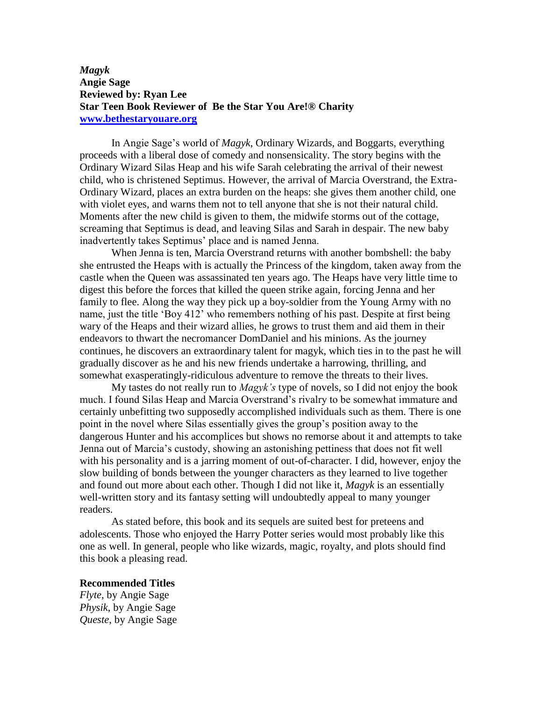## *Magyk* **Angie Sage Reviewed by: Ryan Lee Star Teen Book Reviewer of Be the Star You Are!® Charity [www.bethestaryouare.org](http://www.bethestaryouare.org/)**

In Angie Sage's world of *Magyk*, Ordinary Wizards, and Boggarts, everything proceeds with a liberal dose of comedy and nonsensicality. The story begins with the Ordinary Wizard Silas Heap and his wife Sarah celebrating the arrival of their newest child, who is christened Septimus. However, the arrival of Marcia Overstrand, the Extra-Ordinary Wizard, places an extra burden on the heaps: she gives them another child, one with violet eyes, and warns them not to tell anyone that she is not their natural child. Moments after the new child is given to them, the midwife storms out of the cottage, screaming that Septimus is dead, and leaving Silas and Sarah in despair. The new baby inadvertently takes Septimus' place and is named Jenna.

When Jenna is ten, Marcia Overstrand returns with another bombshell: the baby she entrusted the Heaps with is actually the Princess of the kingdom, taken away from the castle when the Queen was assassinated ten years ago. The Heaps have very little time to digest this before the forces that killed the queen strike again, forcing Jenna and her family to flee. Along the way they pick up a boy-soldier from the Young Army with no name, just the title 'Boy 412' who remembers nothing of his past. Despite at first being wary of the Heaps and their wizard allies, he grows to trust them and aid them in their endeavors to thwart the necromancer DomDaniel and his minions. As the journey continues, he discovers an extraordinary talent for magyk, which ties in to the past he will gradually discover as he and his new friends undertake a harrowing, thrilling, and somewhat exasperatingly-ridiculous adventure to remove the threats to their lives.

My tastes do not really run to *Magyk's* type of novels, so I did not enjoy the book much. I found Silas Heap and Marcia Overstrand's rivalry to be somewhat immature and certainly unbefitting two supposedly accomplished individuals such as them. There is one point in the novel where Silas essentially gives the group's position away to the dangerous Hunter and his accomplices but shows no remorse about it and attempts to take Jenna out of Marcia's custody, showing an astonishing pettiness that does not fit well with his personality and is a jarring moment of out-of-character. I did, however, enjoy the slow building of bonds between the younger characters as they learned to live together and found out more about each other. Though I did not like it, *Magyk* is an essentially well-written story and its fantasy setting will undoubtedly appeal to many younger readers.

As stated before, this book and its sequels are suited best for preteens and adolescents. Those who enjoyed the Harry Potter series would most probably like this one as well. In general, people who like wizards, magic, royalty, and plots should find this book a pleasing read.

## **Recommended Titles**

*Flyte*, by Angie Sage *Physik*, by Angie Sage *Queste*, by Angie Sage